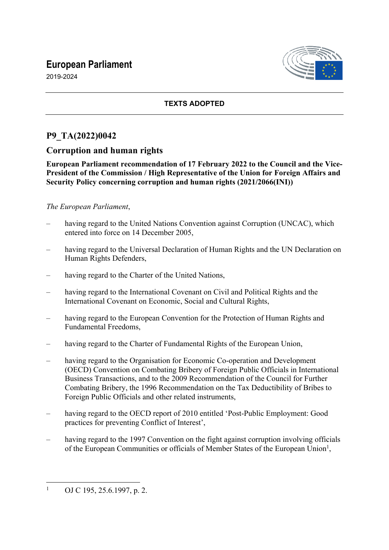# **European Parliament**





## **TEXTS ADOPTED**

# **P9\_TA(2022)0042**

## **Corruption and human rights**

**European Parliament recommendation of 17 February 2022 to the Council and the Vice-President of the Commission / High Representative of the Union for Foreign Affairs and Security Policy concerning corruption and human rights (2021/2066(INI))**

## *The European Parliament*,

- having regard to the United Nations Convention against Corruption (UNCAC), which entered into force on 14 December 2005,
- having regard to the Universal Declaration of Human Rights and the UN Declaration on Human Rights Defenders,
- having regard to the Charter of the United Nations,
- having regard to the International Covenant on Civil and Political Rights and the International Covenant on Economic, Social and Cultural Rights,
- having regard to the European Convention for the Protection of Human Rights and Fundamental Freedoms,
- having regard to the Charter of Fundamental Rights of the European Union,
- having regard to the Organisation for Economic Co-operation and Development (OECD) Convention on Combating Bribery of Foreign Public Officials in International Business Transactions, and to the 2009 Recommendation of the Council for Further Combating Bribery, the 1996 Recommendation on the Tax Deductibility of Bribes to Foreign Public Officials and other related instruments,
- having regard to the OECD report of 2010 entitled 'Post-Public Employment: Good practices for preventing Conflict of Interest',
- having regard to the 1997 Convention on the fight against corruption involving officials of the European Communities or officials of Member States of the European Union<sup>1</sup>,

<sup>1</sup> OJ C 195, 25.6.1997, p. 2.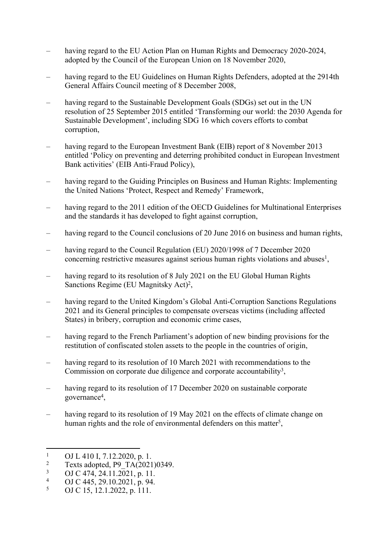- having regard to the EU Action Plan on Human Rights and Democracy 2020-2024, adopted by the Council of the European Union on 18 November 2020,
- having regard to the EU Guidelines on Human Rights Defenders, adopted at the 2914th General Affairs Council meeting of 8 December 2008,
- having regard to the Sustainable Development Goals (SDGs) set out in the UN resolution of 25 September 2015 entitled 'Transforming our world: the 2030 Agenda for Sustainable Development', including SDG 16 which covers efforts to combat corruption,
- having regard to the European Investment Bank (EIB) report of 8 November 2013 entitled 'Policy on preventing and deterring prohibited conduct in European Investment Bank activities' (EIB Anti-Fraud Policy),
- having regard to the Guiding Principles on Business and Human Rights: Implementing the United Nations 'Protect, Respect and Remedy' Framework,
- having regard to the 2011 edition of the OECD Guidelines for Multinational Enterprises and the standards it has developed to fight against corruption,
- having regard to the Council conclusions of 20 June 2016 on business and human rights,
- having regard to the Council Regulation (EU) 2020/1998 of 7 December 2020 concerning restrictive measures against serious human rights violations and abuses<sup>1</sup>,
- having regard to its resolution of 8 July 2021 on the EU Global Human Rights Sanctions Regime (EU Magnitsky Act)<sup>2</sup>,
- having regard to the United Kingdom's Global Anti-Corruption Sanctions Regulations 2021 and its General principles to compensate overseas victims (including affected States) in bribery, corruption and economic crime cases,
- having regard to the French Parliament's adoption of new binding provisions for the restitution of confiscated stolen assets to the people in the countries of origin,
- having regard to its resolution of 10 March 2021 with recommendations to the Commission on corporate due diligence and corporate accountability<sup>3</sup>,
- having regard to its resolution of 17 December 2020 on sustainable corporate governance<sup>4</sup> ,
- having regard to its resolution of 19 May 2021 on the effects of climate change on human rights and the role of environmental defenders on this matter<sup>5</sup>,

<sup>1</sup> OJ L 410 I, 7.12.2020, p. 1.

<sup>2</sup> Texts adopted, P9\_TA(2021)0349.

<sup>3</sup> OJ C 474, 24.11.2021, p. 11.

<sup>4</sup> OJ C 445, 29.10.2021, p. 94.

<sup>5</sup> OJ C 15, 12.1.2022, p. 111.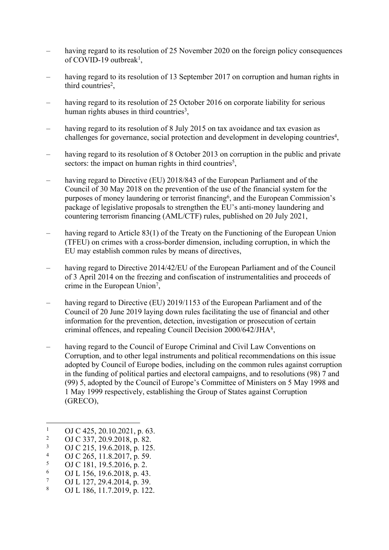- having regard to its resolution of 25 November 2020 on the foreign policy consequences of COVID-19 outbreak<sup>1</sup>,
- having regard to its resolution of 13 September 2017 on corruption and human rights in third countries<sup>2</sup>,
- having regard to its resolution of 25 October 2016 on corporate liability for serious human rights abuses in third countries<sup>3</sup>,
- having regard to its resolution of 8 July 2015 on tax avoidance and tax evasion as challenges for governance, social protection and development in developing countries<sup>4</sup>,
- having regard to its resolution of 8 October 2013 on corruption in the public and private sectors: the impact on human rights in third countries<sup>5</sup>,
- having regard to Directive (EU) 2018/843 of the European Parliament and of the Council of 30 May 2018 on the prevention of the use of the financial system for the purposes of money laundering or terrorist financing<sup>6</sup>, and the European Commission's package of legislative proposals to strengthen the EU's anti-money laundering and countering terrorism financing (AML/CTF) rules, published on 20 July 2021,
- having regard to Article 83(1) of the Treaty on the Functioning of the European Union (TFEU) on crimes with a cross-border dimension, including corruption, in which the EU may establish common rules by means of directives,
- having regard to Directive 2014/42/EU of the European Parliament and of the Council of 3 April 2014 on the freezing and confiscation of instrumentalities and proceeds of crime in the European Union<sup>7</sup>,
- having regard to Directive (EU) 2019/1153 of the European Parliament and of the Council of 20 June 2019 laying down rules facilitating the use of financial and other information for the prevention, detection, investigation or prosecution of certain criminal offences, and repealing Council Decision 2000/642/JHA<sup>8</sup> ,
- having regard to the Council of Europe Criminal and Civil Law Conventions on Corruption, and to other legal instruments and political recommendations on this issue adopted by Council of Europe bodies, including on the common rules against corruption in the funding of political parties and electoral campaigns, and to resolutions (98) 7 and (99) 5, adopted by the Council of Europe's Committee of Ministers on 5 May 1998 and 1 May 1999 respectively, establishing the Group of States against Corruption (GRECO),

<sup>1</sup> OJ C 425, 20.10.2021, p. 63.

<sup>2</sup> OJ C 337, 20.9.2018, p. 82.

<sup>3</sup> OJ C 215, 19.6.2018, p. 125.

<sup>4</sup> OJ C 265, 11.8.2017, p. 59.

<sup>5</sup> OJ C 181, 19.5.2016, p. 2.

<sup>6</sup> OJ L 156, 19.6.2018, p. 43.

<sup>7</sup> OJ L 127, 29.4.2014, p. 39.

<sup>8</sup> OJ L 186, 11.7.2019, p. 122.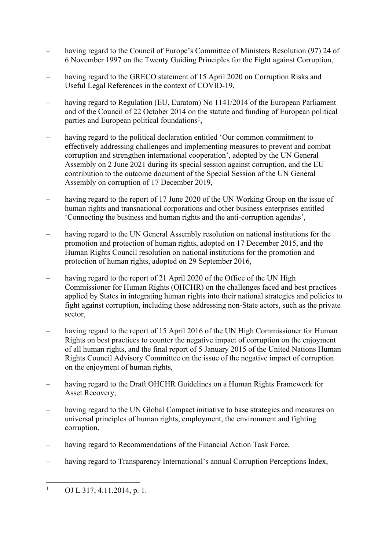- having regard to the Council of Europe's Committee of Ministers Resolution (97) 24 of 6 November 1997 on the Twenty Guiding Principles for the Fight against Corruption,
- having regard to the GRECO statement of 15 April 2020 on Corruption Risks and Useful Legal References in the context of COVID-19,
- having regard to Regulation (EU, Euratom) No 1141/2014 of the European Parliament and of the Council of 22 October 2014 on the statute and funding of European political parties and European political foundations<sup>1</sup>,
- having regard to the political declaration entitled 'Our common commitment to effectively addressing challenges and implementing measures to prevent and combat corruption and strengthen international cooperation', adopted by the UN General Assembly on 2 June 2021 during its special session against corruption, and the EU contribution to the outcome document of the Special Session of the UN General Assembly on corruption of 17 December 2019,
- having regard to the report of 17 June 2020 of the UN Working Group on the issue of human rights and transnational corporations and other business enterprises entitled 'Connecting the business and human rights and the anti-corruption agendas',
- having regard to the UN General Assembly resolution on national institutions for the promotion and protection of human rights, adopted on 17 December 2015, and the Human Rights Council resolution on national institutions for the promotion and protection of human rights, adopted on 29 September 2016,
- having regard to the report of 21 April 2020 of the Office of the UN High Commissioner for Human Rights (OHCHR) on the challenges faced and best practices applied by States in integrating human rights into their national strategies and policies to fight against corruption, including those addressing non-State actors, such as the private sector,
- having regard to the report of 15 April 2016 of the UN High Commissioner for Human Rights on best practices to counter the negative impact of corruption on the enjoyment of all human rights, and the final report of 5 January 2015 of the United Nations Human Rights Council Advisory Committee on the issue of the negative impact of corruption on the enjoyment of human rights,
- having regard to the Draft OHCHR Guidelines on a Human Rights Framework for Asset Recovery,
- having regard to the UN Global Compact initiative to base strategies and measures on universal principles of human rights, employment, the environment and fighting corruption,
- having regard to Recommendations of the Financial Action Task Force,
- having regard to Transparency International's annual Corruption Perceptions Index,

<sup>1</sup> OJ L 317, 4.11.2014, p. 1.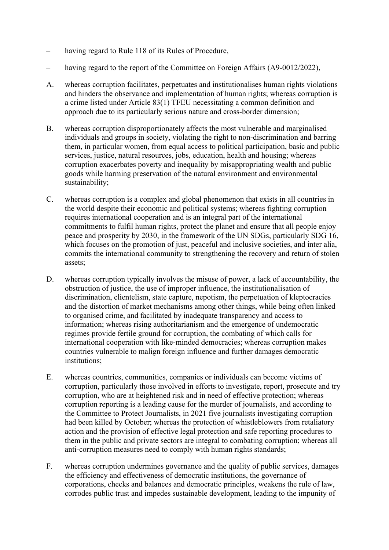- having regard to Rule 118 of its Rules of Procedure,
- having regard to the report of the Committee on Foreign Affairs (A9-0012/2022),
- A. whereas corruption facilitates, perpetuates and institutionalises human rights violations and hinders the observance and implementation of human rights; whereas corruption is a crime listed under Article 83(1) TFEU necessitating a common definition and approach due to its particularly serious nature and cross-border dimension;
- B. whereas corruption disproportionately affects the most vulnerable and marginalised individuals and groups in society, violating the right to non-discrimination and barring them, in particular women, from equal access to political participation, basic and public services, justice, natural resources, jobs, education, health and housing; whereas corruption exacerbates poverty and inequality by misappropriating wealth and public goods while harming preservation of the natural environment and environmental sustainability;
- C. whereas corruption is a complex and global phenomenon that exists in all countries in the world despite their economic and political systems; whereas fighting corruption requires international cooperation and is an integral part of the international commitments to fulfil human rights, protect the planet and ensure that all people enjoy peace and prosperity by 2030, in the framework of the UN SDGs, particularly SDG 16, which focuses on the promotion of just, peaceful and inclusive societies, and inter alia, commits the international community to strengthening the recovery and return of stolen assets;
- D. whereas corruption typically involves the misuse of power, a lack of accountability, the obstruction of justice, the use of improper influence, the institutionalisation of discrimination, clientelism, state capture, nepotism, the perpetuation of kleptocracies and the distortion of market mechanisms among other things, while being often linked to organised crime, and facilitated by inadequate transparency and access to information; whereas rising authoritarianism and the emergence of undemocratic regimes provide fertile ground for corruption, the combating of which calls for international cooperation with like-minded democracies; whereas corruption makes countries vulnerable to malign foreign influence and further damages democratic institutions;
- E. whereas countries, communities, companies or individuals can become victims of corruption, particularly those involved in efforts to investigate, report, prosecute and try corruption, who are at heightened risk and in need of effective protection; whereas corruption reporting is a leading cause for the murder of journalists, and according to the Committee to Protect Journalists, in 2021 five journalists investigating corruption had been killed by October; whereas the protection of whistleblowers from retaliatory action and the provision of effective legal protection and safe reporting procedures to them in the public and private sectors are integral to combating corruption; whereas all anti-corruption measures need to comply with human rights standards;
- F. whereas corruption undermines governance and the quality of public services, damages the efficiency and effectiveness of democratic institutions, the governance of corporations, checks and balances and democratic principles, weakens the rule of law, corrodes public trust and impedes sustainable development, leading to the impunity of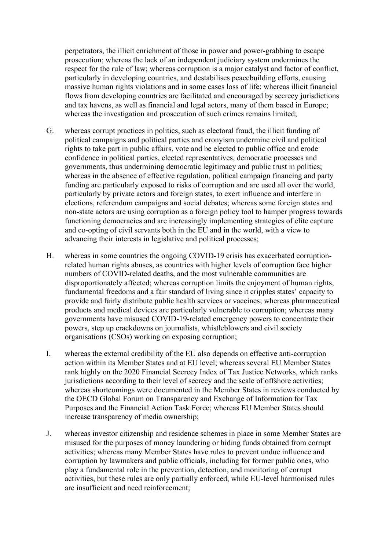perpetrators, the illicit enrichment of those in power and power-grabbing to escape prosecution; whereas the lack of an independent judiciary system undermines the respect for the rule of law; whereas corruption is a major catalyst and factor of conflict, particularly in developing countries, and destabilises peacebuilding efforts, causing massive human rights violations and in some cases loss of life; whereas illicit financial flows from developing countries are facilitated and encouraged by secrecy jurisdictions and tax havens, as well as financial and legal actors, many of them based in Europe; whereas the investigation and prosecution of such crimes remains limited;

- G. whereas corrupt practices in politics, such as electoral fraud, the illicit funding of political campaigns and political parties and cronyism undermine civil and political rights to take part in public affairs, vote and be elected to public office and erode confidence in political parties, elected representatives, democratic processes and governments, thus undermining democratic legitimacy and public trust in politics; whereas in the absence of effective regulation, political campaign financing and party funding are particularly exposed to risks of corruption and are used all over the world, particularly by private actors and foreign states, to exert influence and interfere in elections, referendum campaigns and social debates; whereas some foreign states and non-state actors are using corruption as a foreign policy tool to hamper progress towards functioning democracies and are increasingly implementing strategies of elite capture and co-opting of civil servants both in the EU and in the world, with a view to advancing their interests in legislative and political processes;
- H. whereas in some countries the ongoing COVID-19 crisis has exacerbated corruptionrelated human rights abuses, as countries with higher levels of corruption face higher numbers of COVID-related deaths, and the most vulnerable communities are disproportionately affected; whereas corruption limits the enjoyment of human rights, fundamental freedoms and a fair standard of living since it cripples states' capacity to provide and fairly distribute public health services or vaccines; whereas pharmaceutical products and medical devices are particularly vulnerable to corruption; whereas many governments have misused COVID-19-related emergency powers to concentrate their powers, step up crackdowns on journalists, whistleblowers and civil society organisations (CSOs) working on exposing corruption;
- I. whereas the external credibility of the EU also depends on effective anti-corruption action within its Member States and at EU level; whereas several EU Member States rank highly on the 2020 Financial Secrecy Index of Tax Justice Networks, which ranks jurisdictions according to their level of secrecy and the scale of offshore activities; whereas shortcomings were documented in the Member States in reviews conducted by the OECD Global Forum on Transparency and Exchange of Information for Tax Purposes and the Financial Action Task Force; whereas EU Member States should increase transparency of media ownership;
- J. whereas investor citizenship and residence schemes in place in some Member States are misused for the purposes of money laundering or hiding funds obtained from corrupt activities; whereas many Member States have rules to prevent undue influence and corruption by lawmakers and public officials, including for former public ones, who play a fundamental role in the prevention, detection, and monitoring of corrupt activities, but these rules are only partially enforced, while EU-level harmonised rules are insufficient and need reinforcement;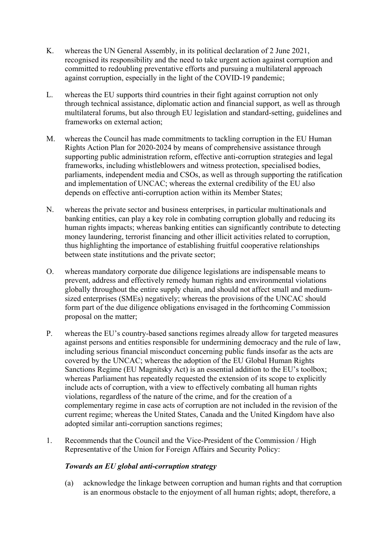- K. whereas the UN General Assembly, in its political declaration of 2 June 2021, recognised its responsibility and the need to take urgent action against corruption and committed to redoubling preventative efforts and pursuing a multilateral approach against corruption, especially in the light of the COVID-19 pandemic;
- L. whereas the EU supports third countries in their fight against corruption not only through technical assistance, diplomatic action and financial support, as well as through multilateral forums, but also through EU legislation and standard-setting, guidelines and frameworks on external action;
- M. whereas the Council has made commitments to tackling corruption in the EU Human Rights Action Plan for 2020-2024 by means of comprehensive assistance through supporting public administration reform, effective anti-corruption strategies and legal frameworks, including whistleblowers and witness protection, specialised bodies, parliaments, independent media and CSOs, as well as through supporting the ratification and implementation of UNCAC; whereas the external credibility of the EU also depends on effective anti-corruption action within its Member States;
- N. whereas the private sector and business enterprises, in particular multinationals and banking entities, can play a key role in combating corruption globally and reducing its human rights impacts; whereas banking entities can significantly contribute to detecting money laundering, terrorist financing and other illicit activities related to corruption, thus highlighting the importance of establishing fruitful cooperative relationships between state institutions and the private sector;
- O. whereas mandatory corporate due diligence legislations are indispensable means to prevent, address and effectively remedy human rights and environmental violations globally throughout the entire supply chain, and should not affect small and mediumsized enterprises (SMEs) negatively; whereas the provisions of the UNCAC should form part of the due diligence obligations envisaged in the forthcoming Commission proposal on the matter;
- P. whereas the EU's country-based sanctions regimes already allow for targeted measures against persons and entities responsible for undermining democracy and the rule of law, including serious financial misconduct concerning public funds insofar as the acts are covered by the UNCAC; whereas the adoption of the EU Global Human Rights Sanctions Regime (EU Magnitsky Act) is an essential addition to the EU's toolbox; whereas Parliament has repeatedly requested the extension of its scope to explicitly include acts of corruption, with a view to effectively combating all human rights violations, regardless of the nature of the crime, and for the creation of a complementary regime in case acts of corruption are not included in the revision of the current regime; whereas the United States, Canada and the United Kingdom have also adopted similar anti-corruption sanctions regimes;
- 1. Recommends that the Council and the Vice-President of the Commission / High Representative of the Union for Foreign Affairs and Security Policy:

## *Towards an EU global anti-corruption strategy*

(a) acknowledge the linkage between corruption and human rights and that corruption is an enormous obstacle to the enjoyment of all human rights; adopt, therefore, a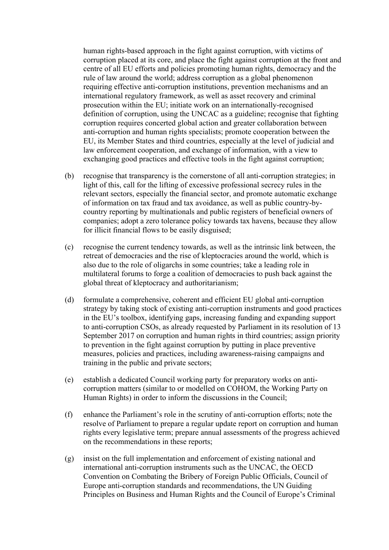human rights-based approach in the fight against corruption, with victims of corruption placed at its core, and place the fight against corruption at the front and centre of all EU efforts and policies promoting human rights, democracy and the rule of law around the world; address corruption as a global phenomenon requiring effective anti-corruption institutions, prevention mechanisms and an international regulatory framework, as well as asset recovery and criminal prosecution within the EU; initiate work on an internationally-recognised definition of corruption, using the UNCAC as a guideline; recognise that fighting corruption requires concerted global action and greater collaboration between anti-corruption and human rights specialists; promote cooperation between the EU, its Member States and third countries, especially at the level of judicial and law enforcement cooperation, and exchange of information, with a view to exchanging good practices and effective tools in the fight against corruption;

- (b) recognise that transparency is the cornerstone of all anti-corruption strategies; in light of this, call for the lifting of excessive professional secrecy rules in the relevant sectors, especially the financial sector, and promote automatic exchange of information on tax fraud and tax avoidance, as well as public country-bycountry reporting by multinationals and public registers of beneficial owners of companies; adopt a zero tolerance policy towards tax havens, because they allow for illicit financial flows to be easily disguised;
- (c) recognise the current tendency towards, as well as the intrinsic link between, the retreat of democracies and the rise of kleptocracies around the world, which is also due to the role of oligarchs in some countries; take a leading role in multilateral forums to forge a coalition of democracies to push back against the global threat of kleptocracy and authoritarianism;
- (d) formulate a comprehensive, coherent and efficient EU global anti-corruption strategy by taking stock of existing anti-corruption instruments and good practices in the EU's toolbox, identifying gaps, increasing funding and expanding support to anti-corruption CSOs, as already requested by Parliament in its resolution of 13 September 2017 on corruption and human rights in third countries; assign priority to prevention in the fight against corruption by putting in place preventive measures, policies and practices, including awareness-raising campaigns and training in the public and private sectors;
- (e) establish a dedicated Council working party for preparatory works on anticorruption matters (similar to or modelled on COHOM, the Working Party on Human Rights) in order to inform the discussions in the Council;
- (f) enhance the Parliament's role in the scrutiny of anti-corruption efforts; note the resolve of Parliament to prepare a regular update report on corruption and human rights every legislative term; prepare annual assessments of the progress achieved on the recommendations in these reports;
- (g) insist on the full implementation and enforcement of existing national and international anti-corruption instruments such as the UNCAC, the OECD Convention on Combating the Bribery of Foreign Public Officials, Council of Europe anti-corruption standards and recommendations, the UN Guiding Principles on Business and Human Rights and the Council of Europe's Criminal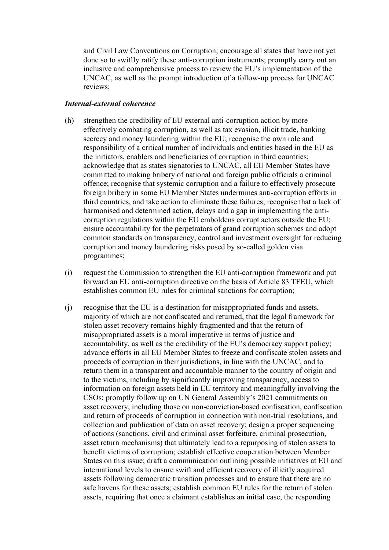and Civil Law Conventions on Corruption; encourage all states that have not yet done so to swiftly ratify these anti-corruption instruments; promptly carry out an inclusive and comprehensive process to review the EU's implementation of the UNCAC, as well as the prompt introduction of a follow-up process for UNCAC reviews;

#### *Internal-external coherence*

- (h) strengthen the credibility of EU external anti-corruption action by more effectively combating corruption, as well as tax evasion, illicit trade, banking secrecy and money laundering within the EU; recognise the own role and responsibility of a critical number of individuals and entities based in the EU as the initiators, enablers and beneficiaries of corruption in third countries; acknowledge that as states signatories to UNCAC, all EU Member States have committed to making bribery of national and foreign public officials a criminal offence; recognise that systemic corruption and a failure to effectively prosecute foreign bribery in some EU Member States undermines anti-corruption efforts in third countries, and take action to eliminate these failures; recognise that a lack of harmonised and determined action, delays and a gap in implementing the anticorruption regulations within the EU emboldens corrupt actors outside the EU; ensure accountability for the perpetrators of grand corruption schemes and adopt common standards on transparency, control and investment oversight for reducing corruption and money laundering risks posed by so-called golden visa programmes;
- (i) request the Commission to strengthen the EU anti-corruption framework and put forward an EU anti-corruption directive on the basis of Article 83 TFEU, which establishes common EU rules for criminal sanctions for corruption;
- (j) recognise that the EU is a destination for misappropriated funds and assets, majority of which are not confiscated and returned, that the legal framework for stolen asset recovery remains highly fragmented and that the return of misappropriated assets is a moral imperative in terms of justice and accountability, as well as the credibility of the EU's democracy support policy; advance efforts in all EU Member States to freeze and confiscate stolen assets and proceeds of corruption in their jurisdictions, in line with the UNCAC, and to return them in a transparent and accountable manner to the country of origin and to the victims, including by significantly improving transparency, access to information on foreign assets held in EU territory and meaningfully involving the CSOs; promptly follow up on UN General Assembly's 2021 commitments on asset recovery, including those on non-conviction-based confiscation, confiscation and return of proceeds of corruption in connection with non-trial resolutions, and collection and publication of data on asset recovery; design a proper sequencing of actions (sanctions, civil and criminal asset forfeiture, criminal prosecution, asset return mechanisms) that ultimately lead to a repurposing of stolen assets to benefit victims of corruption; establish effective cooperation between Member States on this issue; draft a communication outlining possible initiatives at EU and international levels to ensure swift and efficient recovery of illicitly acquired assets following democratic transition processes and to ensure that there are no safe havens for these assets; establish common EU rules for the return of stolen assets, requiring that once a claimant establishes an initial case, the responding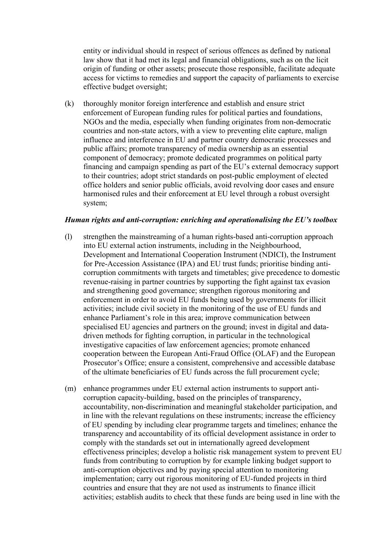entity or individual should in respect of serious offences as defined by national law show that it had met its legal and financial obligations, such as on the licit origin of funding or other assets; prosecute those responsible, facilitate adequate access for victims to remedies and support the capacity of parliaments to exercise effective budget oversight;

(k) thoroughly monitor foreign interference and establish and ensure strict enforcement of European funding rules for political parties and foundations, NGOs and the media, especially when funding originates from non-democratic countries and non-state actors, with a view to preventing elite capture, malign influence and interference in EU and partner country democratic processes and public affairs; promote transparency of media ownership as an essential component of democracy; promote dedicated programmes on political party financing and campaign spending as part of the EU's external democracy support to their countries; adopt strict standards on post-public employment of elected office holders and senior public officials, avoid revolving door cases and ensure harmonised rules and their enforcement at EU level through a robust oversight system;

#### *Human rights and anti-corruption: enriching and operationalising the EU's toolbox*

- (l) strengthen the mainstreaming of a human rights-based anti-corruption approach into EU external action instruments, including in the Neighbourhood, Development and International Cooperation Instrument (NDICI), the Instrument for Pre-Accession Assistance (IPA) and EU trust funds; prioritise binding anticorruption commitments with targets and timetables; give precedence to domestic revenue-raising in partner countries by supporting the fight against tax evasion and strengthening good governance; strengthen rigorous monitoring and enforcement in order to avoid EU funds being used by governments for illicit activities; include civil society in the monitoring of the use of EU funds and enhance Parliament's role in this area; improve communication between specialised EU agencies and partners on the ground; invest in digital and datadriven methods for fighting corruption, in particular in the technological investigative capacities of law enforcement agencies; promote enhanced cooperation between the European Anti-Fraud Office (OLAF) and the European Prosecutor's Office; ensure a consistent, comprehensive and accessible database of the ultimate beneficiaries of EU funds across the full procurement cycle;
- (m) enhance programmes under EU external action instruments to support anticorruption capacity-building, based on the principles of transparency, accountability, non-discrimination and meaningful stakeholder participation, and in line with the relevant regulations on these instruments; increase the efficiency of EU spending by including clear programme targets and timelines; enhance the transparency and accountability of its official development assistance in order to comply with the standards set out in internationally agreed development effectiveness principles; develop a holistic risk management system to prevent EU funds from contributing to corruption by for example linking budget support to anti-corruption objectives and by paying special attention to monitoring implementation; carry out rigorous monitoring of EU-funded projects in third countries and ensure that they are not used as instruments to finance illicit activities; establish audits to check that these funds are being used in line with the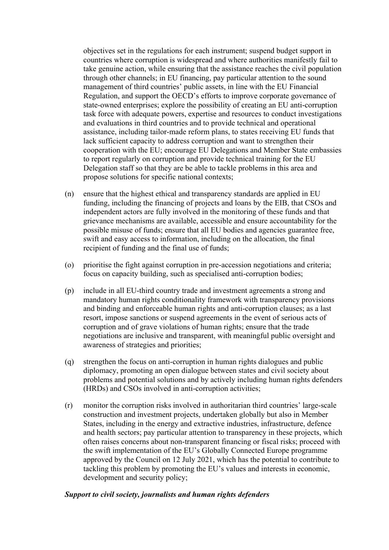objectives set in the regulations for each instrument; suspend budget support in countries where corruption is widespread and where authorities manifestly fail to take genuine action, while ensuring that the assistance reaches the civil population through other channels; in EU financing, pay particular attention to the sound management of third countries' public assets, in line with the EU Financial Regulation, and support the OECD's efforts to improve corporate governance of state-owned enterprises; explore the possibility of creating an EU anti-corruption task force with adequate powers, expertise and resources to conduct investigations and evaluations in third countries and to provide technical and operational assistance, including tailor-made reform plans, to states receiving EU funds that lack sufficient capacity to address corruption and want to strengthen their cooperation with the EU; encourage EU Delegations and Member State embassies to report regularly on corruption and provide technical training for the EU Delegation staff so that they are be able to tackle problems in this area and propose solutions for specific national contexts;

- (n) ensure that the highest ethical and transparency standards are applied in EU funding, including the financing of projects and loans by the EIB, that CSOs and independent actors are fully involved in the monitoring of these funds and that grievance mechanisms are available, accessible and ensure accountability for the possible misuse of funds; ensure that all EU bodies and agencies guarantee free, swift and easy access to information, including on the allocation, the final recipient of funding and the final use of funds;
- (o) prioritise the fight against corruption in pre-accession negotiations and criteria; focus on capacity building, such as specialised anti-corruption bodies;
- (p) include in all EU-third country trade and investment agreements a strong and mandatory human rights conditionality framework with transparency provisions and binding and enforceable human rights and anti-corruption clauses; as a last resort, impose sanctions or suspend agreements in the event of serious acts of corruption and of grave violations of human rights; ensure that the trade negotiations are inclusive and transparent, with meaningful public oversight and awareness of strategies and priorities;
- (q) strengthen the focus on anti-corruption in human rights dialogues and public diplomacy, promoting an open dialogue between states and civil society about problems and potential solutions and by actively including human rights defenders (HRDs) and CSOs involved in anti-corruption activities;
- (r) monitor the corruption risks involved in authoritarian third countries' large-scale construction and investment projects, undertaken globally but also in Member States, including in the energy and extractive industries, infrastructure, defence and health sectors; pay particular attention to transparency in these projects, which often raises concerns about non-transparent financing or fiscal risks; proceed with the swift implementation of the EU's Globally Connected Europe programme approved by the Council on 12 July 2021, which has the potential to contribute to tackling this problem by promoting the EU's values and interests in economic, development and security policy;

## *Support to civil society, journalists and human rights defenders*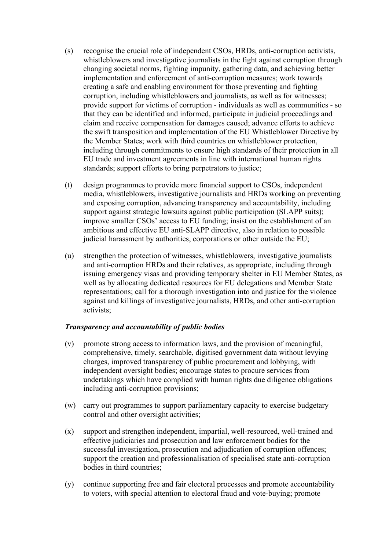- (s) recognise the crucial role of independent CSOs, HRDs, anti-corruption activists, whistleblowers and investigative journalists in the fight against corruption through changing societal norms, fighting impunity, gathering data, and achieving better implementation and enforcement of anti-corruption measures; work towards creating a safe and enabling environment for those preventing and fighting corruption, including whistleblowers and journalists, as well as for witnesses; provide support for victims of corruption - individuals as well as communities - so that they can be identified and informed, participate in judicial proceedings and claim and receive compensation for damages caused; advance efforts to achieve the swift transposition and implementation of the EU Whistleblower Directive by the Member States; work with third countries on whistleblower protection, including through commitments to ensure high standards of their protection in all EU trade and investment agreements in line with international human rights standards; support efforts to bring perpetrators to justice;
- (t) design programmes to provide more financial support to CSOs, independent media, whistleblowers, investigative journalists and HRDs working on preventing and exposing corruption, advancing transparency and accountability, including support against strategic lawsuits against public participation (SLAPP suits); improve smaller CSOs' access to EU funding; insist on the establishment of an ambitious and effective EU anti-SLAPP directive, also in relation to possible judicial harassment by authorities, corporations or other outside the EU;
- (u) strengthen the protection of witnesses, whistleblowers, investigative journalists and anti-corruption HRDs and their relatives, as appropriate, including through issuing emergency visas and providing temporary shelter in EU Member States, as well as by allocating dedicated resources for EU delegations and Member State representations; call for a thorough investigation into and justice for the violence against and killings of investigative journalists, HRDs, and other anti-corruption activists;

## *Transparency and accountability of public bodies*

- (v) promote strong access to information laws, and the provision of meaningful, comprehensive, timely, searchable, digitised government data without levying charges, improved transparency of public procurement and lobbying, with independent oversight bodies; encourage states to procure services from undertakings which have complied with human rights due diligence obligations including anti-corruption provisions;
- (w) carry out programmes to support parliamentary capacity to exercise budgetary control and other oversight activities;
- (x) support and strengthen independent, impartial, well-resourced, well-trained and effective judiciaries and prosecution and law enforcement bodies for the successful investigation, prosecution and adjudication of corruption offences; support the creation and professionalisation of specialised state anti-corruption bodies in third countries;
- (y) continue supporting free and fair electoral processes and promote accountability to voters, with special attention to electoral fraud and vote-buying; promote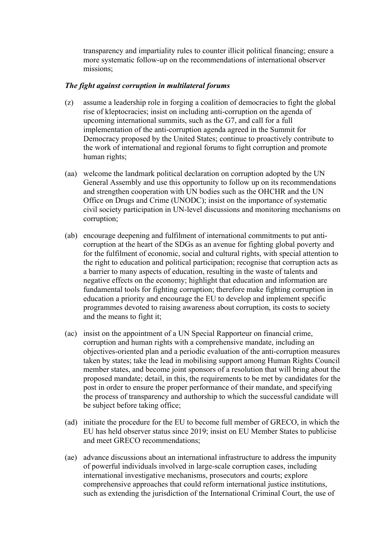transparency and impartiality rules to counter illicit political financing; ensure a more systematic follow-up on the recommendations of international observer missions;

#### *The fight against corruption in multilateral forums*

- (z) assume a leadership role in forging a coalition of democracies to fight the global rise of kleptocracies; insist on including anti-corruption on the agenda of upcoming international summits, such as the G7, and call for a full implementation of the anti-corruption agenda agreed in the Summit for Democracy proposed by the United States; continue to proactively contribute to the work of international and regional forums to fight corruption and promote human rights;
- (aa) welcome the landmark political declaration on corruption adopted by the UN General Assembly and use this opportunity to follow up on its recommendations and strengthen cooperation with UN bodies such as the OHCHR and the UN Office on Drugs and Crime (UNODC); insist on the importance of systematic civil society participation in UN-level discussions and monitoring mechanisms on corruption;
- (ab) encourage deepening and fulfilment of international commitments to put anticorruption at the heart of the SDGs as an avenue for fighting global poverty and for the fulfilment of economic, social and cultural rights, with special attention to the right to education and political participation; recognise that corruption acts as a barrier to many aspects of education, resulting in the waste of talents and negative effects on the economy; highlight that education and information are fundamental tools for fighting corruption; therefore make fighting corruption in education a priority and encourage the EU to develop and implement specific programmes devoted to raising awareness about corruption, its costs to society and the means to fight it;
- (ac) insist on the appointment of a UN Special Rapporteur on financial crime, corruption and human rights with a comprehensive mandate, including an objectives-oriented plan and a periodic evaluation of the anti-corruption measures taken by states; take the lead in mobilising support among Human Rights Council member states, and become joint sponsors of a resolution that will bring about the proposed mandate; detail, in this, the requirements to be met by candidates for the post in order to ensure the proper performance of their mandate, and specifying the process of transparency and authorship to which the successful candidate will be subject before taking office;
- (ad) initiate the procedure for the EU to become full member of GRECO, in which the EU has held observer status since 2019; insist on EU Member States to publicise and meet GRECO recommendations;
- (ae) advance discussions about an international infrastructure to address the impunity of powerful individuals involved in large-scale corruption cases, including international investigative mechanisms, prosecutors and courts; explore comprehensive approaches that could reform international justice institutions, such as extending the jurisdiction of the International Criminal Court, the use of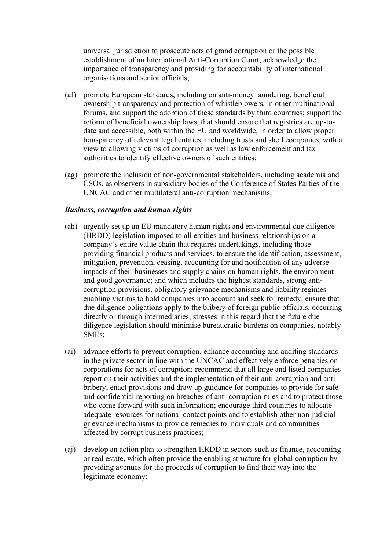universal jurisdiction to prosecute acts of grand corruption or the possible establishment of an International Anti-Corruption Court; acknowledge the importance of transparency and providing for accountability of international organisations and senior officials;

- (af) promote European standards, including on anti-money laundering, beneficial ownership transparency and protection of whistleblowers, in other multinational forums, and support the adoption of these standards by third countries; support the reform of beneficial ownership laws, that should ensure that registries are up-todate and accessible, both within the EU and worldwide, in order to allow proper transparency of relevant legal entities, including trusts and shell companies, with a view to allowing victims of corruption as well as law enforcement and tax authorities to identify effective owners of such entities;
- (ag) promote the inclusion of non-governmental stakeholders, including academia and CSOs, as observers in subsidiary bodies of the Conference of States Parties of the UNCAC and other multilateral anti-corruption mechanisms;

#### *Business, corruption and human rights*

- (ah) urgently set up an EU mandatory human rights and environmental due diligence (HRDD) legislation imposed to all entities and business relationships on a company's entire value chain that requires undertakings, including those providing financial products and services, to ensure the identification, assessment, mitigation, prevention, ceasing, accounting for and notification of any adverse impacts of their businesses and supply chains on human rights, the environment and good governance; and which includes the highest standards, strong anticorruption provisions, obligatory grievance mechanisms and liability regimes enabling victims to hold companies into account and seek for remedy; ensure that due diligence obligations apply to the bribery of foreign public officials, occurring directly or through intermediaries; stresses in this regard that the future due diligence legislation should minimise bureaucratic burdens on companies, notably SMEs;
- (ai) advance efforts to prevent corruption, enhance accounting and auditing standards in the private sector in line with the UNCAC and effectively enforce penalties on corporations for acts of corruption; recommend that all large and listed companies report on their activities and the implementation of their anti-corruption and antibribery; enact provisions and draw up guidance for companies to provide for safe and confidential reporting on breaches of anti-corruption rules and to protect those who come forward with such information; encourage third countries to allocate adequate resources for national contact points and to establish other non-judicial grievance mechanisms to provide remedies to individuals and communities affected by corrupt business practices;
- (aj) develop an action plan to strengthen HRDD in sectors such as finance, accounting or real estate, which often provide the enabling structure for global corruption by providing avenues for the proceeds of corruption to find their way into the legitimate economy;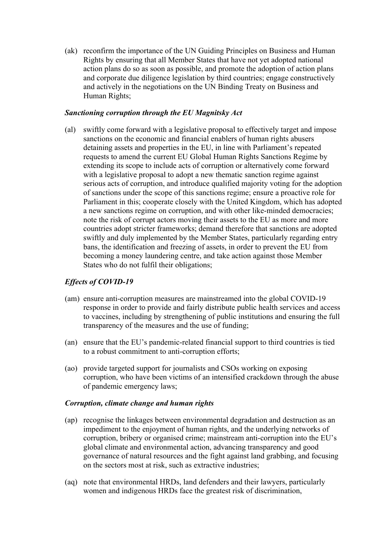(ak) reconfirm the importance of the UN Guiding Principles on Business and Human Rights by ensuring that all Member States that have not yet adopted national action plans do so as soon as possible, and promote the adoption of action plans and corporate due diligence legislation by third countries; engage constructively and actively in the negotiations on the UN Binding Treaty on Business and Human Rights;

#### *Sanctioning corruption through the EU Magnitsky Act*

(al) swiftly come forward with a legislative proposal to effectively target and impose sanctions on the economic and financial enablers of human rights abusers detaining assets and properties in the EU, in line with Parliament's repeated requests to amend the current EU Global Human Rights Sanctions Regime by extending its scope to include acts of corruption or alternatively come forward with a legislative proposal to adopt a new thematic sanction regime against serious acts of corruption, and introduce qualified majority voting for the adoption of sanctions under the scope of this sanctions regime; ensure a proactive role for Parliament in this; cooperate closely with the United Kingdom, which has adopted a new sanctions regime on corruption, and with other like-minded democracies; note the risk of corrupt actors moving their assets to the EU as more and more countries adopt stricter frameworks; demand therefore that sanctions are adopted swiftly and duly implemented by the Member States, particularly regarding entry bans, the identification and freezing of assets, in order to prevent the EU from becoming a money laundering centre, and take action against those Member States who do not fulfil their obligations;

## *Effects of COVID-19*

- (am) ensure anti-corruption measures are mainstreamed into the global COVID-19 response in order to provide and fairly distribute public health services and access to vaccines, including by strengthening of public institutions and ensuring the full transparency of the measures and the use of funding;
- (an) ensure that the EU's pandemic-related financial support to third countries is tied to a robust commitment to anti-corruption efforts;
- (ao) provide targeted support for journalists and CSOs working on exposing corruption, who have been victims of an intensified crackdown through the abuse of pandemic emergency laws;

#### *Corruption, climate change and human rights*

- (ap) recognise the linkages between environmental degradation and destruction as an impediment to the enjoyment of human rights, and the underlying networks of corruption, bribery or organised crime; mainstream anti-corruption into the EU's global climate and environmental action, advancing transparency and good governance of natural resources and the fight against land grabbing, and focusing on the sectors most at risk, such as extractive industries;
- (aq) note that environmental HRDs, land defenders and their lawyers, particularly women and indigenous HRDs face the greatest risk of discrimination,